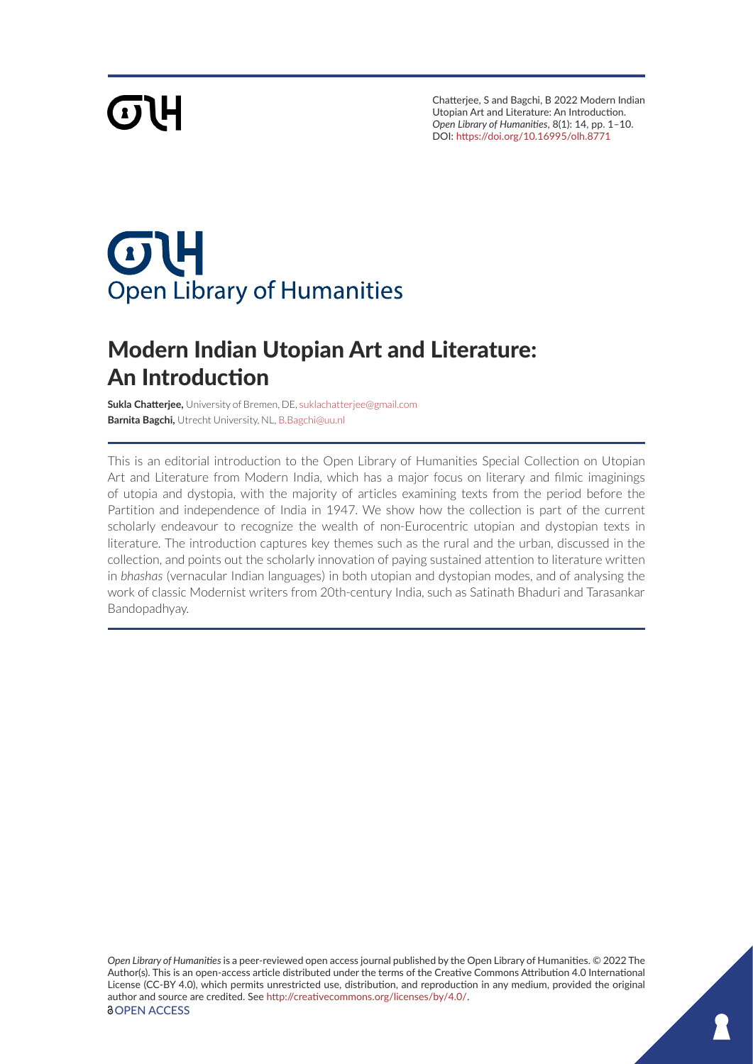# **GTH**

Chatterjee, S and Bagchi, B 2022 Modern Indian Utopian Art and Literature: An Introduction. *Open Library of Humanities*, 8(1): 14, pp. 1–10. DOI: <https://doi.org/10.16995/olh.8771>

## $\sigma$ **Open Library of Humanities**

### Modern Indian Utopian Art and Literature: An Introduction

**Sukla Chatterjee,** University of Bremen, DE, [suklachatterjee@gmail.com](mailto:suklachatterjee@gmail.com) **Barnita Bagchi,** Utrecht University, NL, [B.Bagchi@uu.nl](mailto:B.Bagchi@uu.nl)

This is an editorial introduction to the Open Library of Humanities Special Collection on Utopian Art and Literature from Modern India, which has a major focus on literary and filmic imaginings of utopia and dystopia, with the majority of articles examining texts from the period before the Partition and independence of India in 1947. We show how the collection is part of the current scholarly endeavour to recognize the wealth of non-Eurocentric utopian and dystopian texts in literature. The introduction captures key themes such as the rural and the urban, discussed in the collection, and points out the scholarly innovation of paying sustained attention to literature written in *bhashas* (vernacular Indian languages) in both utopian and dystopian modes, and of analysing the work of classic Modernist writers from 20th-century India, such as Satinath Bhaduri and Tarasankar Bandopadhyay.

*Open Library of Humanities* is a peer-reviewed open access journal published by the Open Library of Humanities. © 2022 The Author(s). This is an open-access article distributed under the terms of the Creative Commons Attribution 4.0 International License (CC-BY 4.0), which permits unrestricted use, distribution, and reproduction in any medium, provided the original author and source are credited. See <http://creativecommons.org/licenses/by/4.0/>. *<u>OOPEN ACCESS</u>*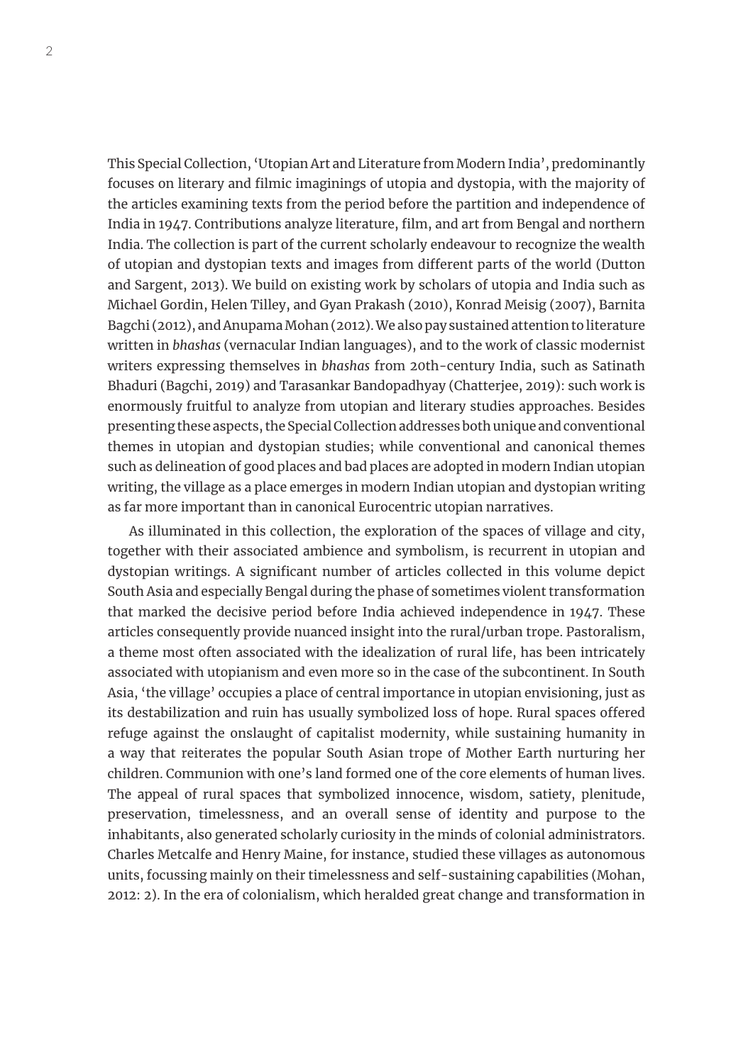This Special Collection, 'Utopian Art and Literature from Modern India', predominantly focuses on literary and filmic imaginings of utopia and dystopia, with the majority of the articles examining texts from the period before the partition and independence of India in 1947. Contributions analyze literature, film, and art from Bengal and northern India. The collection is part of the current scholarly endeavour to recognize the wealth of utopian and dystopian texts and images from different parts of the world (Dutton and Sargent, 2013). We build on existing work by scholars of utopia and India such as Michael Gordin, Helen Tilley, and Gyan Prakash (2010), Konrad Meisig (2007), Barnita Bagchi (2012), and Anupama Mohan (2012). We also pay sustained attention to literature written in *bhashas* (vernacular Indian languages), and to the work of classic modernist writers expressing themselves in *bhashas* from 20th-century India, such as Satinath Bhaduri (Bagchi, 2019) and Tarasankar Bandopadhyay (Chatterjee, 2019): such work is enormously fruitful to analyze from utopian and literary studies approaches. Besides presenting these aspects, the Special Collection addresses both unique and conventional themes in utopian and dystopian studies; while conventional and canonical themes such as delineation of good places and bad places are adopted in modern Indian utopian writing, the village as a place emerges in modern Indian utopian and dystopian writing as far more important than in canonical Eurocentric utopian narratives.

As illuminated in this collection, the exploration of the spaces of village and city, together with their associated ambience and symbolism, is recurrent in utopian and dystopian writings. A significant number of articles collected in this volume depict South Asia and especially Bengal during the phase of sometimes violent transformation that marked the decisive period before India achieved independence in 1947. These articles consequently provide nuanced insight into the rural/urban trope. Pastoralism, a theme most often associated with the idealization of rural life, has been intricately associated with utopianism and even more so in the case of the subcontinent. In South Asia, 'the village' occupies a place of central importance in utopian envisioning, just as its destabilization and ruin has usually symbolized loss of hope. Rural spaces offered refuge against the onslaught of capitalist modernity, while sustaining humanity in a way that reiterates the popular South Asian trope of Mother Earth nurturing her children. Communion with one's land formed one of the core elements of human lives. The appeal of rural spaces that symbolized innocence, wisdom, satiety, plenitude, preservation, timelessness, and an overall sense of identity and purpose to the inhabitants, also generated scholarly curiosity in the minds of colonial administrators. Charles Metcalfe and Henry Maine, for instance, studied these villages as autonomous units, focussing mainly on their timelessness and self-sustaining capabilities (Mohan, 2012: 2). In the era of colonialism, which heralded great change and transformation in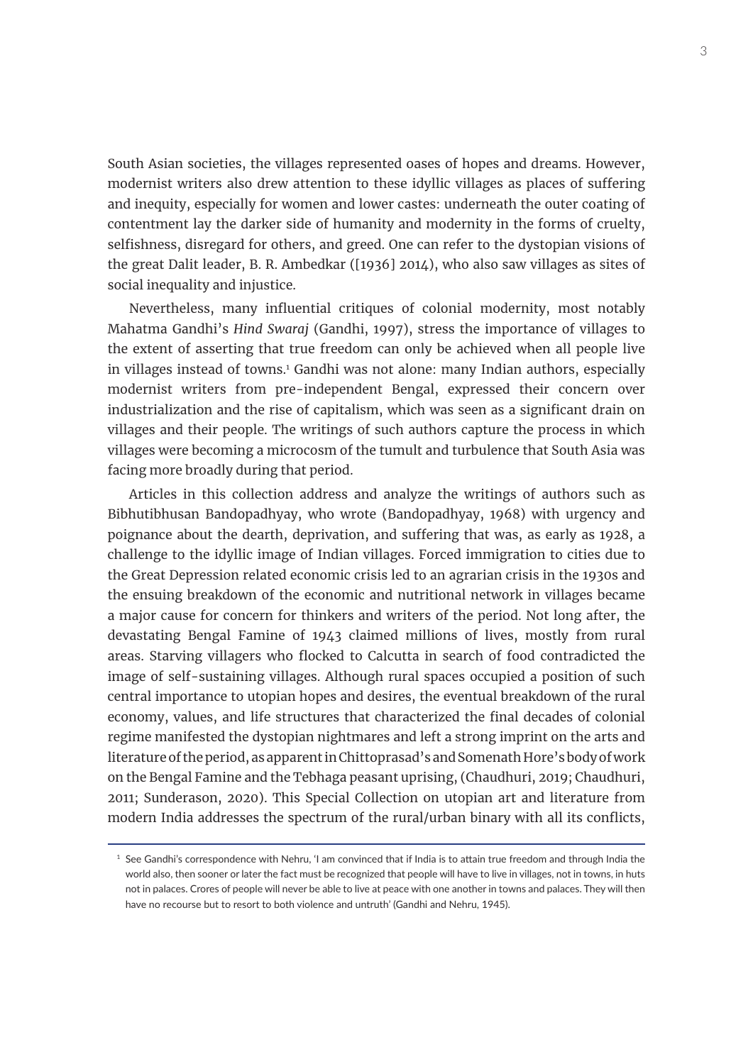South Asian societies, the villages represented oases of hopes and dreams. However, modernist writers also drew attention to these idyllic villages as places of suffering and inequity, especially for women and lower castes: underneath the outer coating of contentment lay the darker side of humanity and modernity in the forms of cruelty, selfishness, disregard for others, and greed. One can refer to the dystopian visions of the great Dalit leader, B. R. Ambedkar ([1936] 2014), who also saw villages as sites of social inequality and injustice.

Nevertheless, many influential critiques of colonial modernity, most notably Mahatma Gandhi's *Hind Swaraj* (Gandhi, 1997), stress the importance of villages to the extent of asserting that true freedom can only be achieved when all people live in villages instead of towns.<sup>1</sup> Gandhi was not alone: many Indian authors, especially modernist writers from pre-independent Bengal, expressed their concern over industrialization and the rise of capitalism, which was seen as a significant drain on villages and their people. The writings of such authors capture the process in which villages were becoming a microcosm of the tumult and turbulence that South Asia was facing more broadly during that period.

Articles in this collection address and analyze the writings of authors such as Bibhutibhusan Bandopadhyay, who wrote (Bandopadhyay, 1968) with urgency and poignance about the dearth, deprivation, and suffering that was, as early as 1928, a challenge to the idyllic image of Indian villages. Forced immigration to cities due to the Great Depression related economic crisis led to an agrarian crisis in the 1930s and the ensuing breakdown of the economic and nutritional network in villages became a major cause for concern for thinkers and writers of the period. Not long after, the devastating Bengal Famine of 1943 claimed millions of lives, mostly from rural areas. Starving villagers who flocked to Calcutta in search of food contradicted the image of self-sustaining villages. Although rural spaces occupied a position of such central importance to utopian hopes and desires, the eventual breakdown of the rural economy, values, and life structures that characterized the final decades of colonial regime manifested the dystopian nightmares and left a strong imprint on the arts and literature of the period, as apparent in Chittoprasad's and Somenath Hore's body of work on the Bengal Famine and the Tebhaga peasant uprising, (Chaudhuri, 2019; Chaudhuri, 2011; Sunderason, 2020). This Special Collection on utopian art and literature from modern India addresses the spectrum of the rural/urban binary with all its conflicts,

 $<sup>1</sup>$  See Gandhi's correspondence with Nehru. 'I am convinced that if India is to attain true freedom and through India the</sup> world also, then sooner or later the fact must be recognized that people will have to live in villages, not in towns, in huts not in palaces. Crores of people will never be able to live at peace with one another in towns and palaces. They will then have no recourse but to resort to both violence and untruth' (Gandhi and Nehru, 1945).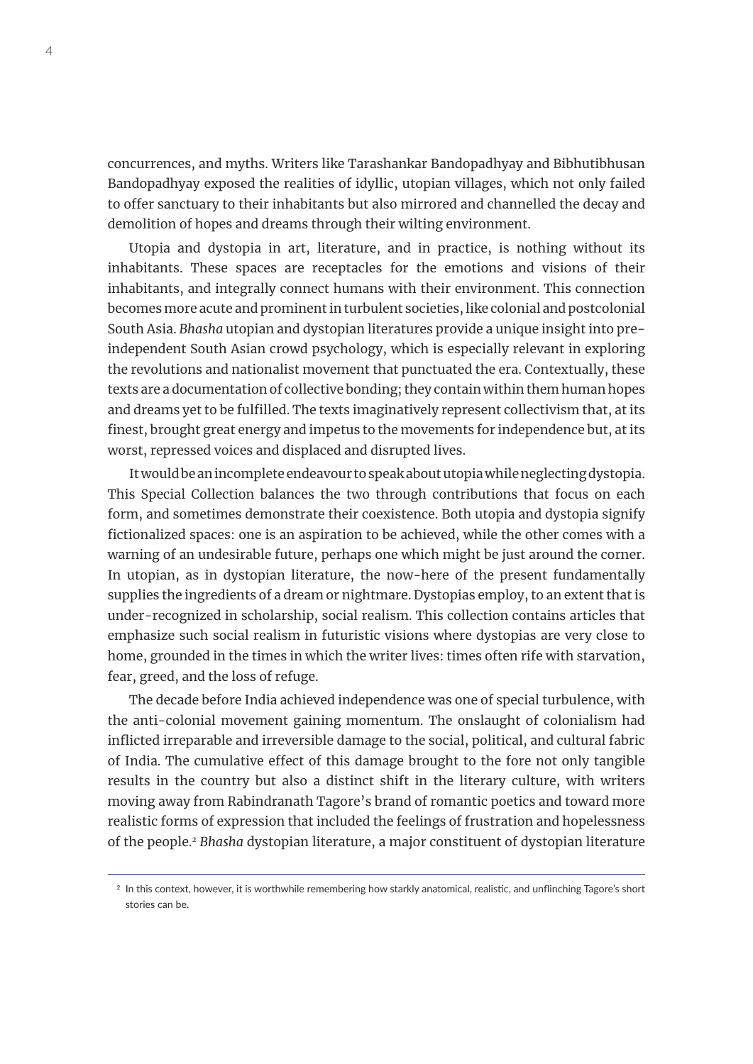concurrences, and myths. Writers like Tarashankar Bandopadhyay and Bibhutibhusan Bandopadhyay exposed the realities of idyllic, utopian villages, which not only failed to offer sanctuary to their inhabitants but also mirrored and channelled the decay and demolition of hopes and dreams through their wilting environment.

Utopia and dystopia in art, literature, and in practice, is nothing without its inhabitants. These spaces are receptacles for the emotions and visions of their inhabitants, and integrally connect humans with their environment. This connection becomes more acute and prominent in turbulent societies, like colonial and postcolonial South Asia. *Bhasha* utopian and dystopian literatures provide a unique insight into preindependent South Asian crowd psychology, which is especially relevant in exploring the revolutions and nationalist movement that punctuated the era. Contextually, these texts are a documentation of collective bonding; they contain within them human hopes and dreams yet to be fulfilled. The texts imaginatively represent collectivism that, at its finest, brought great energy and impetus to the movements for independence but, at its worst, repressed voices and displaced and disrupted lives.

It would be an incomplete endeavour to speak about utopia while neglecting dystopia. This Special Collection balances the two through contributions that focus on each form, and sometimes demonstrate their coexistence. Both utopia and dystopia signify fictionalized spaces: one is an aspiration to be achieved, while the other comes with a warning of an undesirable future, perhaps one which might be just around the corner. In utopian, as in dystopian literature, the now-here of the present fundamentally supplies the ingredients of a dream or nightmare. Dystopias employ, to an extent that is under-recognized in scholarship, social realism. This collection contains articles that emphasize such social realism in futuristic visions where dystopias are very close to home, grounded in the times in which the writer lives: times often rife with starvation, fear, greed, and the loss of refuge.

The decade before India achieved independence was one of special turbulence, with the anti-colonial movement gaining momentum. The onslaught of colonialism had inflicted irreparable and irreversible damage to the social, political, and cultural fabric of India. The cumulative effect of this damage brought to the fore not only tangible results in the country but also a distinct shift in the literary culture, with writers moving away from Rabindranath Tagore's brand of romantic poetics and toward more realistic forms of expression that included the feelings of frustration and hopelessness of the people.2 *Bhasha* dystopian literature, a major constituent of dystopian literature

<sup>&</sup>lt;sup>2</sup> In this context, however, it is worthwhile remembering how starkly anatomical, realistic, and unflinching Tagore's short stories can be.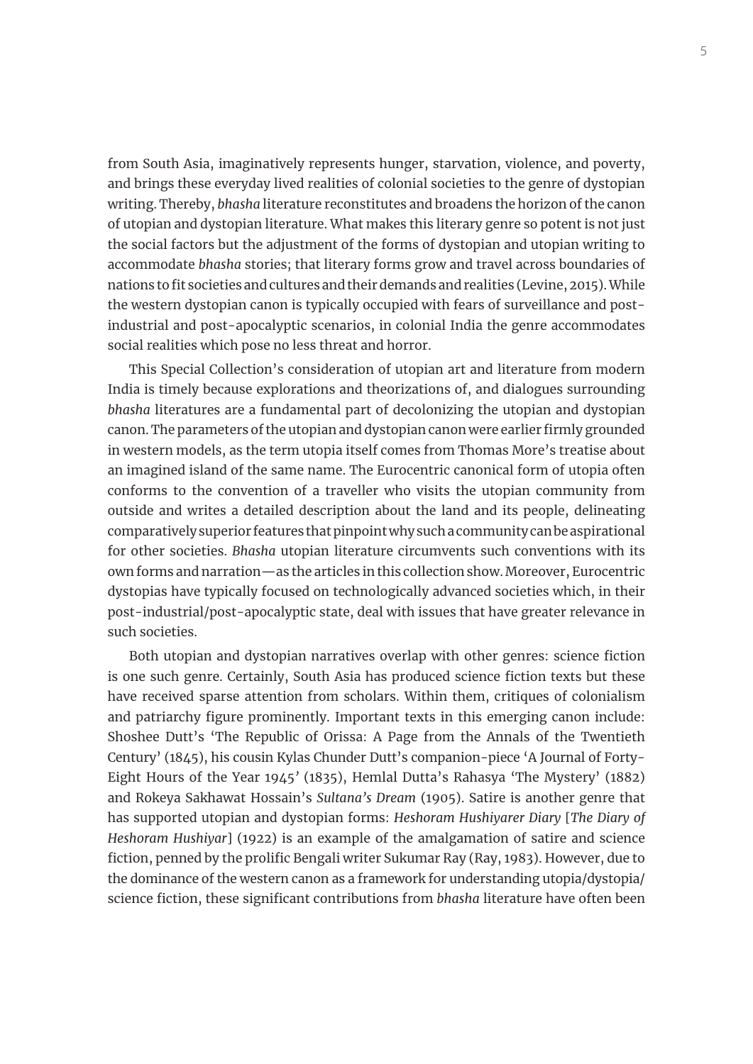from South Asia, imaginatively represents hunger, starvation, violence, and poverty, and brings these everyday lived realities of colonial societies to the genre of dystopian writing. Thereby, *bhasha* literature reconstitutes and broadens the horizon of the canon of utopian and dystopian literature. What makes this literary genre so potent is not just the social factors but the adjustment of the forms of dystopian and utopian writing to accommodate *bhasha* stories; that literary forms grow and travel across boundaries of nations to fit societies and cultures and their demands and realities (Levine, 2015). While the western dystopian canon is typically occupied with fears of surveillance and postindustrial and post-apocalyptic scenarios, in colonial India the genre accommodates social realities which pose no less threat and horror.

This Special Collection's consideration of utopian art and literature from modern India is timely because explorations and theorizations of, and dialogues surrounding *bhasha* literatures are a fundamental part of decolonizing the utopian and dystopian canon. The parameters of the utopian and dystopian canon were earlier firmly grounded in western models, as the term utopia itself comes from Thomas More's treatise about an imagined island of the same name. The Eurocentric canonical form of utopia often conforms to the convention of a traveller who visits the utopian community from outside and writes a detailed description about the land and its people, delineating comparatively superior features that pinpoint why such a community can be aspirational for other societies. *Bhasha* utopian literature circumvents such conventions with its own forms and narration—as the articles in this collection show. Moreover, Eurocentric dystopias have typically focused on technologically advanced societies which, in their post-industrial/post-apocalyptic state, deal with issues that have greater relevance in such societies.

Both utopian and dystopian narratives overlap with other genres: science fiction is one such genre. Certainly, South Asia has produced science fiction texts but these have received sparse attention from scholars. Within them, critiques of colonialism and patriarchy figure prominently. Important texts in this emerging canon include: Shoshee Dutt's 'The Republic of Orissa: A Page from the Annals of the Twentieth Century' (1845), his cousin Kylas Chunder Dutt's companion-piece 'A Journal of Forty-Eight Hours of the Year 1945*'* (1835), Hemlal Dutta's Rahasya 'The Mystery' (1882) and Rokeya Sakhawat Hossain's *Sultana's Dream* (1905). Satire is another genre that has supported utopian and dystopian forms: *Heshoram Hushiyarer Diary* [*The Diary of Heshoram Hushiyar*] (1922) is an example of the amalgamation of satire and science fiction, penned by the prolific Bengali writer Sukumar Ray (Ray, 1983). However, due to the dominance of the western canon as a framework for understanding utopia/dystopia/ science fiction, these significant contributions from *bhasha* literature have often been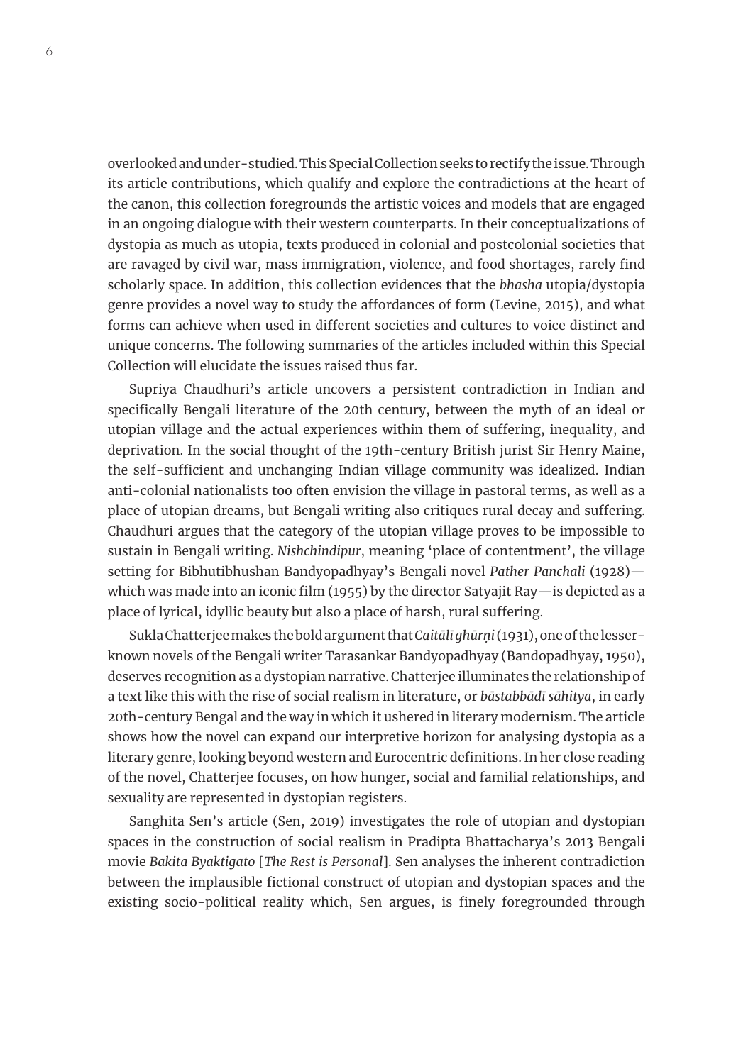overlooked and under-studied. This Special Collection seeks to rectify the issue. Through its article contributions, which qualify and explore the contradictions at the heart of the canon, this collection foregrounds the artistic voices and models that are engaged in an ongoing dialogue with their western counterparts. In their conceptualizations of dystopia as much as utopia, texts produced in colonial and postcolonial societies that are ravaged by civil war, mass immigration, violence, and food shortages, rarely find scholarly space. In addition, this collection evidences that the *bhasha* utopia/dystopia genre provides a novel way to study the affordances of form (Levine, 2015), and what forms can achieve when used in different societies and cultures to voice distinct and unique concerns. The following summaries of the articles included within this Special Collection will elucidate the issues raised thus far.

Supriya Chaudhuri's article uncovers a persistent contradiction in Indian and specifically Bengali literature of the 20th century, between the myth of an ideal or utopian village and the actual experiences within them of suffering, inequality, and deprivation. In the social thought of the 19th-century British jurist Sir Henry Maine, the self-sufficient and unchanging Indian village community was idealized. Indian anti-colonial nationalists too often envision the village in pastoral terms, as well as a place of utopian dreams, but Bengali writing also critiques rural decay and suffering. Chaudhuri argues that the category of the utopian village proves to be impossible to sustain in Bengali writing. *Nishchindipur*, meaning 'place of contentment', the village setting for Bibhutibhushan Bandyopadhyay's Bengali novel *Pather Panchali* (1928) which was made into an iconic film (1955) by the director Satyajit Ray—is depicted as a place of lyrical, idyllic beauty but also a place of harsh, rural suffering.

Sukla Chatterjee makes the bold argument that *Caitālī ghūrṇi* (1931), one of the lesserknown novels of the Bengali writer Tarasankar Bandyopadhyay (Bandopadhyay, 1950), deserves recognition as a dystopian narrative. Chatterjee illuminates the relationship of a text like this with the rise of social realism in literature, or *bāstabbādī sāhitya*, in early 20th-century Bengal and the way in which it ushered in literary modernism. The article shows how the novel can expand our interpretive horizon for analysing dystopia as a literary genre, looking beyond western and Eurocentric definitions. In her close reading of the novel, Chatterjee focuses, on how hunger, social and familial relationships, and sexuality are represented in dystopian registers.

Sanghita Sen's article (Sen, 2019) investigates the role of utopian and dystopian spaces in the construction of social realism in Pradipta Bhattacharya's 2013 Bengali movie *Bakita Byaktigato* [*The Rest is Personal*]. Sen analyses the inherent contradiction between the implausible fictional construct of utopian and dystopian spaces and the existing socio-political reality which, Sen argues, is finely foregrounded through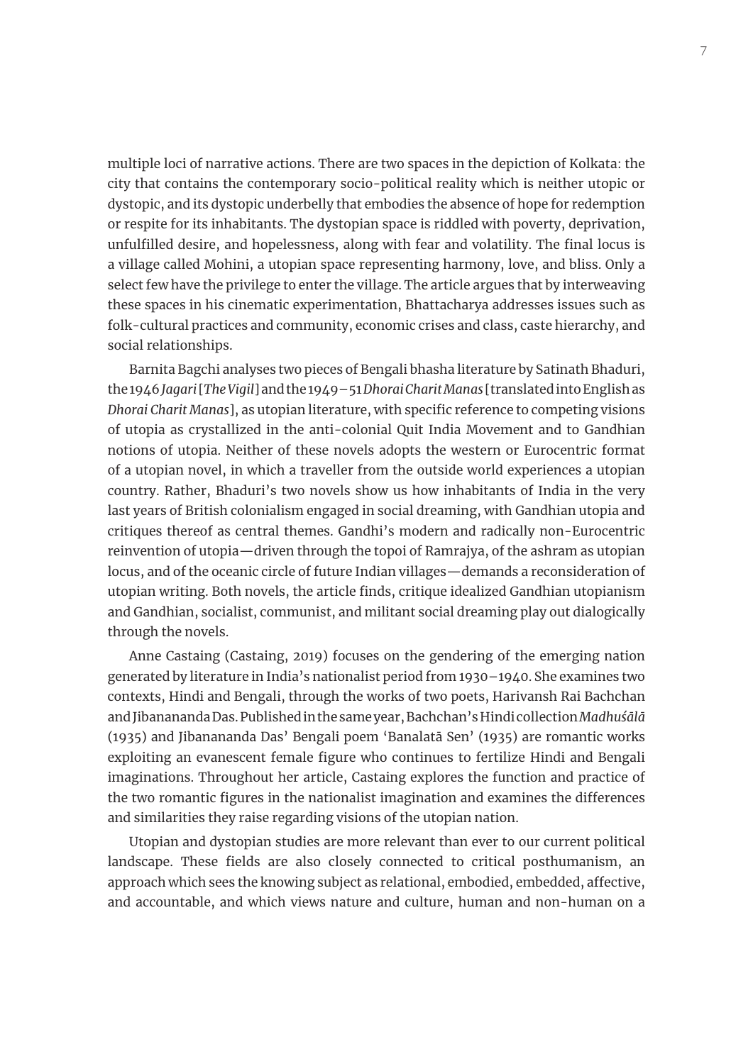multiple loci of narrative actions. There are two spaces in the depiction of Kolkata: the city that contains the contemporary socio-political reality which is neither utopic or dystopic, and its dystopic underbelly that embodies the absence of hope for redemption or respite for its inhabitants. The dystopian space is riddled with poverty, deprivation, unfulfilled desire, and hopelessness, along with fear and volatility. The final locus is a village called Mohini, a utopian space representing harmony, love, and bliss. Only a select few have the privilege to enter the village. The article argues that by interweaving these spaces in his cinematic experimentation, Bhattacharya addresses issues such as folk-cultural practices and community, economic crises and class, caste hierarchy, and social relationships.

Barnita Bagchi analyses two pieces of Bengali bhasha literature by Satinath Bhaduri, the 1946 *Jagari* [*The Vigil*] and the 1949–51 *Dhorai Charit Manas* [translated into English as *Dhorai Charit Manas*], as utopian literature, with specific reference to competing visions of utopia as crystallized in the anti-colonial Quit India Movement and to Gandhian notions of utopia. Neither of these novels adopts the western or Eurocentric format of a utopian novel, in which a traveller from the outside world experiences a utopian country. Rather, Bhaduri's two novels show us how inhabitants of India in the very last years of British colonialism engaged in social dreaming, with Gandhian utopia and critiques thereof as central themes. Gandhi's modern and radically non-Eurocentric reinvention of utopia—driven through the topoi of Ramrajya, of the ashram as utopian locus, and of the oceanic circle of future Indian villages—demands a reconsideration of utopian writing. Both novels, the article finds, critique idealized Gandhian utopianism and Gandhian, socialist, communist, and militant social dreaming play out dialogically through the novels.

Anne Castaing (Castaing, 2019) focuses on the gendering of the emerging nation generated by literature in India's nationalist period from 1930–1940. She examines two contexts, Hindi and Bengali, through the works of two poets, Harivansh Rai Bachchan and Jibanananda Das. Published in the same year, Bachchan's Hindi collection *Madhuśālā* (1935) and Jibanananda Das' Bengali poem 'Banalatā Sen' (1935) are romantic works exploiting an evanescent female figure who continues to fertilize Hindi and Bengali imaginations. Throughout her article, Castaing explores the function and practice of the two romantic figures in the nationalist imagination and examines the differences and similarities they raise regarding visions of the utopian nation.

Utopian and dystopian studies are more relevant than ever to our current political landscape. These fields are also closely connected to critical posthumanism, an approach which sees the knowing subject as relational, embodied, embedded, affective, and accountable, and which views nature and culture, human and non-human on a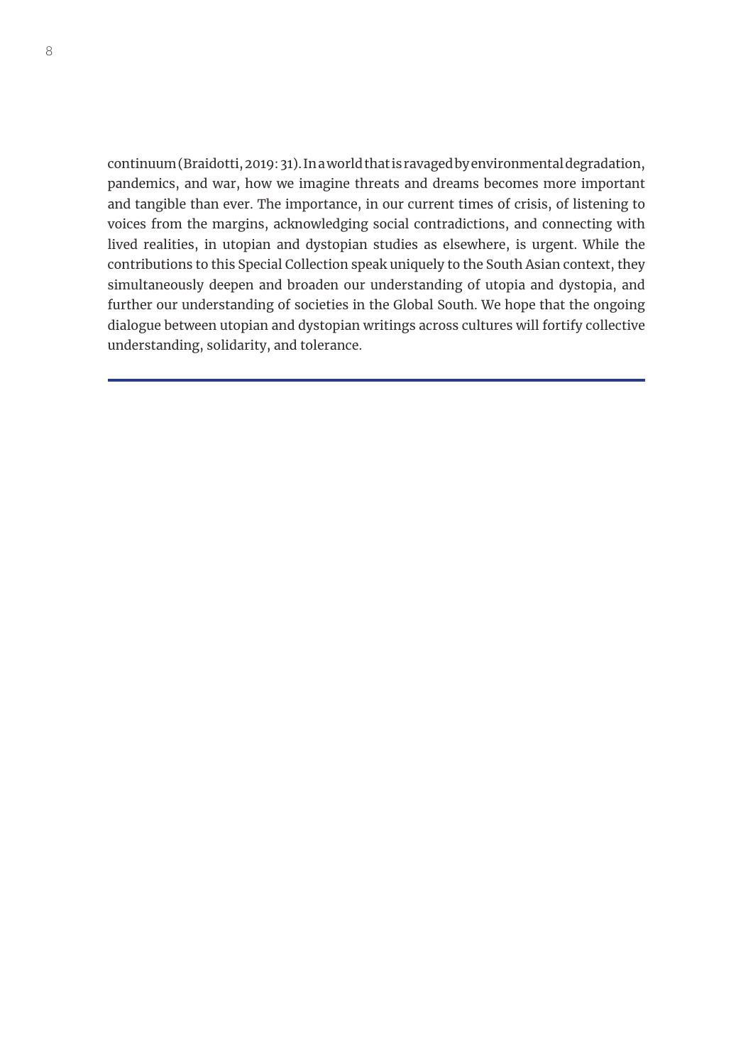continuum (Braidotti, 2019: 31). In a world that is ravaged by environmental degradation, pandemics, and war, how we imagine threats and dreams becomes more important and tangible than ever. The importance, in our current times of crisis, of listening to voices from the margins, acknowledging social contradictions, and connecting with lived realities, in utopian and dystopian studies as elsewhere, is urgent. While the contributions to this Special Collection speak uniquely to the South Asian context, they simultaneously deepen and broaden our understanding of utopia and dystopia, and further our understanding of societies in the Global South. We hope that the ongoing dialogue between utopian and dystopian writings across cultures will fortify collective understanding, solidarity, and tolerance.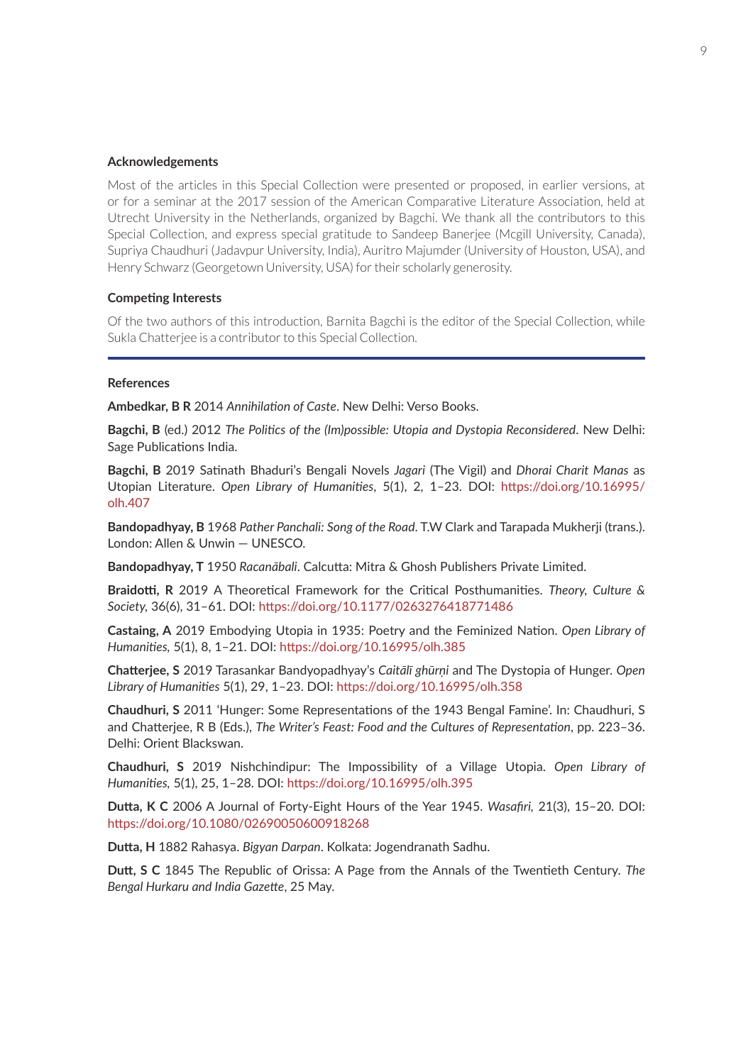#### **Acknowledgements**

Most of the articles in this Special Collection were presented or proposed, in earlier versions, at or for a seminar at the 2017 session of the American Comparative Literature Association, held at Utrecht University in the Netherlands, organized by Bagchi. We thank all the contributors to this Special Collection, and express special gratitude to Sandeep Banerjee (Mcgill University, Canada), Supriya Chaudhuri (Jadavpur University, India), Auritro Majumder (University of Houston, USA), and Henry Schwarz (Georgetown University, USA) for their scholarly generosity.

#### **Competing Interests**

Of the two authors of this introduction, Barnita Bagchi is the editor of the Special Collection, while Sukla Chatterjee is a contributor to this Special Collection.

#### **References**

**Ambedkar, B R** 2014 *Annihilation of Caste*. New Delhi: Verso Books.

**Bagchi, B** (ed.) 2012 *The Politics of the (Im)possible: Utopia and Dystopia Reconsidered*. New Delhi: Sage Publications India.

**Bagchi, B** 2019 Satinath Bhaduri's Bengali Novels *Jagari* (The Vigil) and *Dhorai Charit Manas* as Utopian Literature. *Open Library of Humanities*, 5(1), 2, 1–23. DOI: [https://doi.org/10.16995/](https://doi.org/10.16995/olh.407 ) [olh.407](https://doi.org/10.16995/olh.407 )

**Bandopadhyay, B** 1968 *Pather Panchali: Song of the Road*. T.W Clark and Tarapada Mukherji (trans.). London: Allen & Unwin — UNESCO.

**Bandopadhyay, T** 1950 *Racanābali*. Calcutta: Mitra & Ghosh Publishers Private Limited.

**Braidotti, R** 2019 A Theoretical Framework for the Critical Posthumanities. *Theory, Culture & Society,* 36(6), 31–61. DOI: [https://doi.org/10.1177/0263276418771486](https://doi.org/10.1177/0263276418771486 )

**Castaing, A** 2019 Embodying Utopia in 1935: Poetry and the Feminized Nation. *Open Library of Humanities,* 5(1), 8, 1–21. DOI: [https://doi.org/10.16995/olh.385](https://doi.org/10.16995/olh.385 )

**Chatterjee, S** 2019 Tarasankar Bandyopadhyay's *Caitālī ghūrṇi* and The Dystopia of Hunger. *Open Library of Humanities* 5(1), 29, 1–23. DOI: [https://doi.org/10.16995/olh.358](https://doi.org/10.16995/olh.358 )

**Chaudhuri, S** 2011 'Hunger: Some Representations of the 1943 Bengal Famine'. In: Chaudhuri, S and Chatterjee, R B (Eds.), *The Writer's Feast: Food and the Cultures of Representation*, pp. 223–36. Delhi: Orient Blackswan.

**Chaudhuri, S** 2019 Nishchindipur: The Impossibility of a Village Utopia. *Open Library of Humanities,* 5(1), 25, 1–28. DOI: [https://doi.org/10.16995/olh.395](https://doi.org/10.16995/olh.395 )

**Dutta, K C** 2006 A Journal of Forty-Eight Hours of the Year 1945. *Wasafiri,* 21(3), 15–20. DOI: [https://doi.org/10.1080/02690050600918268](https://doi.org/10.1080/02690050600918268 )

**Dutta, H** 1882 Rahasya. *Bigyan Darpan*. Kolkata: Jogendranath Sadhu.

**Dutt, S C** 1845 The Republic of Orissa: A Page from the Annals of the Twentieth Century. *The Bengal Hurkaru and India Gazette*, 25 May.